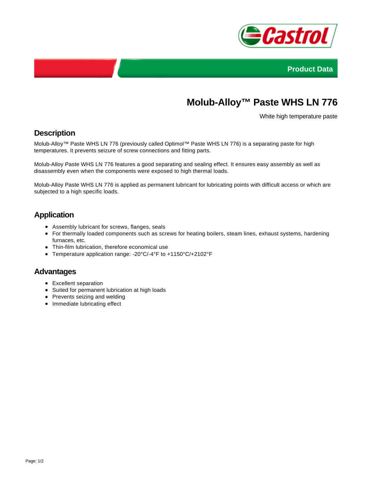



# **Molub-Alloy™ Paste WHS LN 776**

White high temperature paste

## **Description**

Molub-Alloy™ Paste WHS LN 776 (previously called Optimol™ Paste WHS LN 776) is a separating paste for high temperatures. It prevents seizure of screw connections and fitting parts.

Molub-Alloy Paste WHS LN 776 features a good separating and sealing effect. It ensures easy assembly as well as disassembly even when the components were exposed to high thermal loads.

Molub-Alloy Paste WHS LN 776 is applied as permanent lubricant for lubricating points with difficult access or which are subjected to a high specific loads.

# **Application**

- Assembly lubricant for screws, flanges, seals
- For thermally loaded components such as screws for heating boilers, steam lines, exhaust systems, hardening furnaces, etc.
- Thin-film lubrication, therefore economical use
- Temperature application range: -20°C/-4°F to +1150°C/+2102°F

#### **Advantages**

- Excellent separation
- Suited for permanent lubrication at high loads
- Prevents seizing and welding
- Immediate lubricating effect